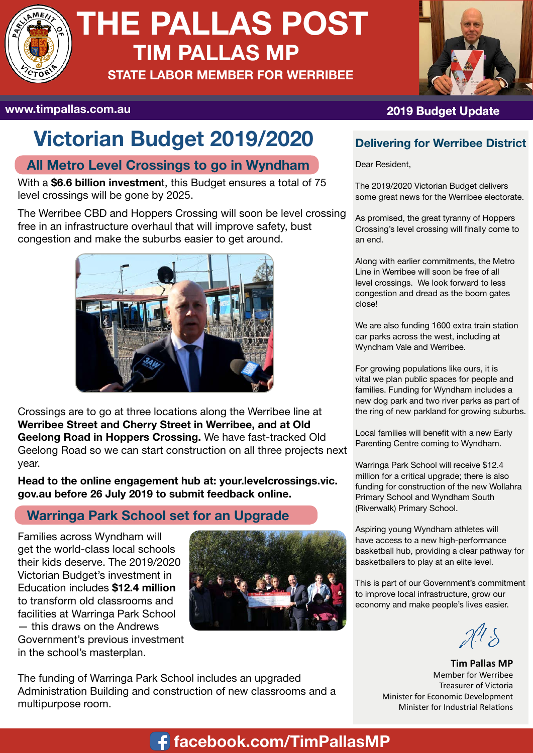

# **THE PALLAS POST TIM PALLAS MP**

**STATE LABOR MEMBER FOR WERRIBEE**



# **Victorian Budget 2019/2020**

### **All Metro Level Crossings to go in Wyndham**

With a **\$6.6 billion investmen**t, this Budget ensures a total of 75 level crossings will be gone by 2025.

The Werribee CBD and Hoppers Crossing will soon be level crossing free in an infrastructure overhaul that will improve safety, bust congestion and make the suburbs easier to get around.



Crossings are to go at three locations along the Werribee line at **Werribee Street and Cherry Street in Werribee, and at Old Geelong Road in Hoppers Crossing.** We have fast-tracked Old Geelong Road so we can start construction on all three projects next year.

**Head to the online engagement hub at: your.levelcrossings.vic. gov.au before 26 July 2019 to submit feedback online.** 

### **Warringa Park School set for an Upgrade**

Families across Wyndham will get the world-class local schools their kids deserve. The 2019/2020 Victorian Budget's investment in Education includes **\$12.4 million**  to transform old classrooms and facilities at Warringa Park School — this draws on the Andrews Government's previous investment in the school's masterplan.



The funding of Warringa Park School includes an upgraded Administration Building and construction of new classrooms and a multipurpose room.

### **www.timpallas.com.au 2019 Budget Update**

#### **Delivering for Werribee District**

Dear Resident,

The 2019/2020 Victorian Budget delivers some great news for the Werribee electorate.

As promised, the great tyranny of Hoppers Crossing's level crossing will finally come to an end.

Along with earlier commitments, the Metro Line in Werribee will soon be free of all level crossings. We look forward to less congestion and dread as the boom gates close!

We are also funding 1600 extra train station car parks across the west, including at Wyndham Vale and Werribee.

For growing populations like ours, it is vital we plan public spaces for people and families. Funding for Wyndham includes a new dog park and two river parks as part of the ring of new parkland for growing suburbs.

Local families will benefit with a new Early Parenting Centre coming to Wyndham.

Warringa Park School will receive \$12.4 million for a critical upgrade; there is also funding for construction of the new Wollahra Primary School and Wyndham South (Riverwalk) Primary School.

Aspiring young Wyndham athletes will have access to a new high-performance basketball hub, providing a clear pathway for basketballers to play at an elite level.

This is part of our Government's commitment to improve local infrastructure, grow our economy and make people's lives easier.

 $\mathcal{A}^{\prime\prime}\delta$ 

**Tim Pallas MP** Member for Werribee Treasurer of Victoria Minister for Economic Development Minister for Industrial Relations

# **https://www.facebook.com/TimPallasMP facebook.com/TimPallasMP**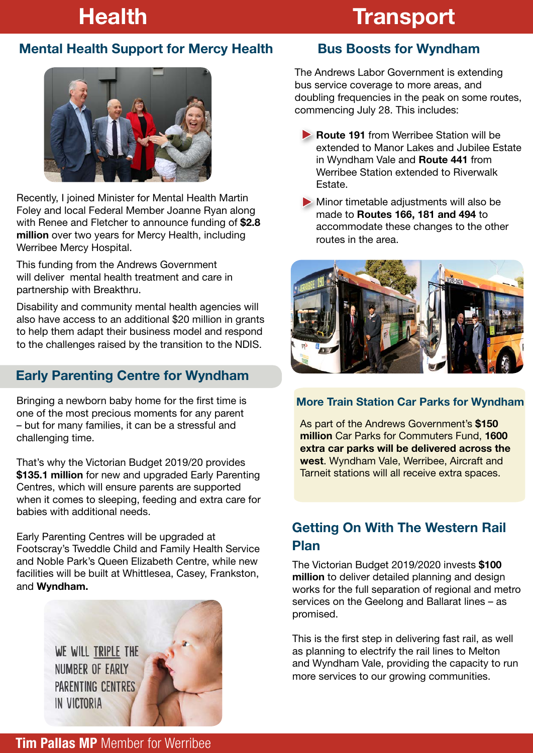# **Health Transport**

### **Mental Health Support for Mercy Health**



Recently, I joined Minister for Mental Health Martin Foley and local Federal Member Joanne Ryan along with Renee and Fletcher to announce funding of **\$2.8 million** over two years for Mercy Health, including Werribee Mercy Hospital.

This funding from the Andrews Government will deliver mental health treatment and care in partnership with Breakthru.

Disability and community mental health agencies will also have access to an additional \$20 million in grants to help them adapt their business model and respond to the challenges raised by the transition to the NDIS.

### **Early Parenting Centre for Wyndham**

Bringing a newborn baby home for the first time is one of the most precious moments for any parent – but for many families, it can be a stressful and challenging time.

That's why the Victorian Budget 2019/20 provides **\$135.1 million** for new and upgraded Early Parenting Centres, which will ensure parents are supported when it comes to sleeping, feeding and extra care for babies with additional needs.

Early Parenting Centres will be upgraded at Footscray's Tweddle Child and Family Health Service and Noble Park's Queen Elizabeth Centre, while new facilities will be built at Whittlesea, Casey, Frankston, and **Wyndham.**

> WE WILL TRIPLE THE NUMBER OF EARLY **PARENTING CENTRES** IN VICTORIA



### **Bus Boosts for Wyndham**

The Andrews Labor Government is extending bus service coverage to more areas, and doubling frequencies in the peak on some routes, commencing July 28. This includes:

- **Route 191** from Werribee Station will be extended to Manor Lakes and Jubilee Estate in Wyndham Vale and **Route 441** from Werribee Station extended to Riverwalk Estate.
- Minor timetable adjustments will also be made to **Routes 166, 181 and 494** to accommodate these changes to the other routes in the area.



#### **More Train Station Car Parks for Wyndham**

As part of the Andrews Government's **\$150 million** Car Parks for Commuters Fund, **1600 extra car parks will be delivered across the west**. Wyndham Vale, Werribee, Aircraft and Tarneit stations will all receive extra spaces.

### **Getting On With The Western Rail Plan**

The Victorian Budget 2019/2020 invests **\$100 million** to deliver detailed planning and design works for the full separation of regional and metro services on the Geelong and Ballarat lines – as promised.

This is the first step in delivering fast rail, as well as planning to electrify the rail lines to Melton and Wyndham Vale, providing the capacity to run more services to our growing communities.

**Tim Pallas MP** Member for Werribee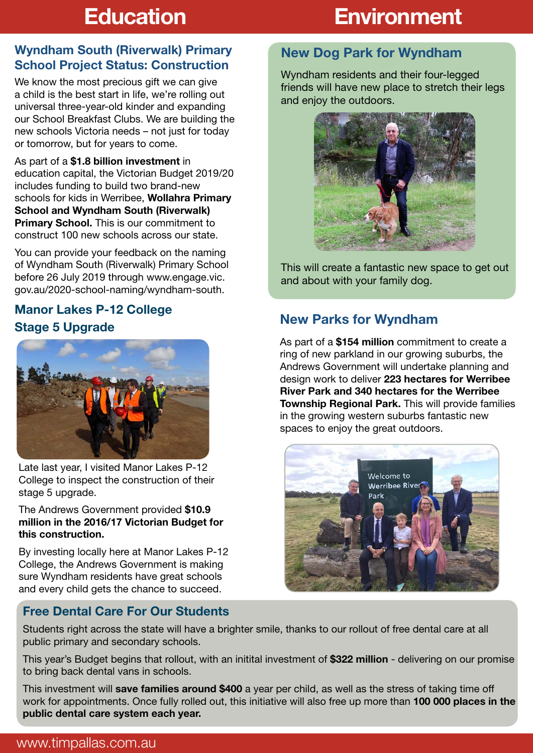# **Education**

# **Environment**

#### **Wyndham South (Riverwalk) Primary School Project Status: Construction**

We know the most precious gift we can give a child is the best start in life, we're rolling out universal three-year-old kinder and expanding our School Breakfast Clubs. We are building the new schools Victoria needs – not just for today or tomorrow, but for years to come.

As part of a **\$1.8 billion investment** in education capital, the Victorian Budget 2019/20 includes funding to build two brand-new schools for kids in Werribee, **Wollahra Primary School and Wyndham South (Riverwalk) Primary School.** This is our commitment to construct 100 new schools across our state.

You can provide your feedback on the naming of Wyndham South (Riverwalk) Primary School before 26 July 2019 through www.engage.vic. gov.au/2020-school-naming/wyndham-south.

#### **Manor Lakes P-12 College Stage 5 Upgrade**



Late last year, I visited Manor Lakes P-12 College to inspect the construction of their stage 5 upgrade.

The Andrews Government provided **\$10.9 million in the 2016/17 Victorian Budget for this construction.** 

By investing locally here at Manor Lakes P-12 College, the Andrews Government is making sure Wyndham residents have great schools and every child gets the chance to succeed.

### **Free Dental Care For Our Students**

#### **New Dog Park for Wyndham**

Wyndham residents and their four-legged friends will have new place to stretch their legs and enjoy the outdoors.



This will create a fantastic new space to get out and about with your family dog.

### **New Parks for Wyndham**

As part of a **\$154 million** commitment to create a ring of new parkland in our growing suburbs, the Andrews Government will undertake planning and design work to deliver **223 hectares for Werribee River Park and 340 hectares for the Werribee Township Regional Park.** This will provide families in the growing western suburbs fantastic new spaces to enjoy the great outdoors.



Students right across the state will have a brighter smile, thanks to our rollout of free dental care at all public primary and secondary schools.

This year's Budget begins that rollout, with an initital investment of **\$322 million** - delivering on our promise to bring back dental vans in schools.

This investment will **save families around \$400** a year per child, as well as the stress of taking time off work for appointments. Once fully rolled out, this initiative will also free up more than **100 000 places in the public dental care system each year.**